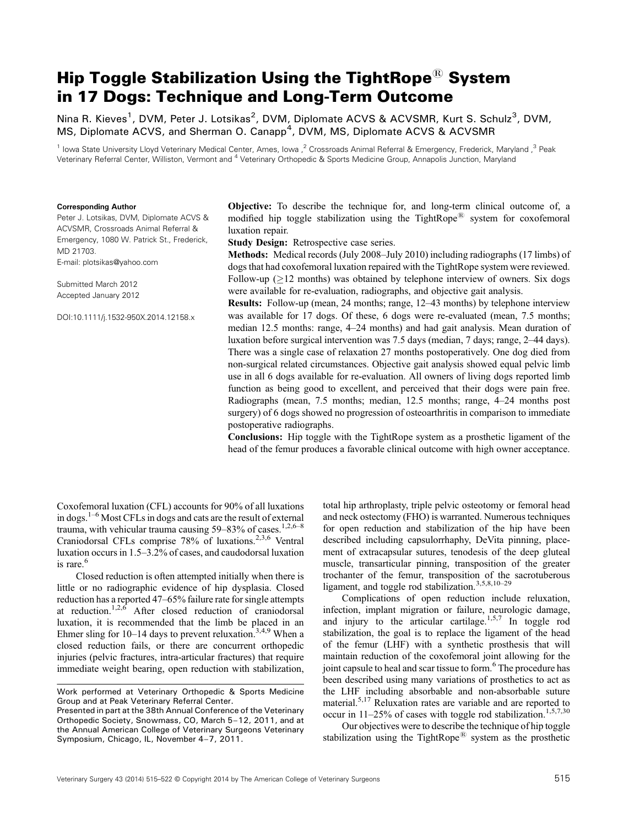# Hip Toggle Stabilization Using the TightRope ${}_{\mathbb{B}}$  System in 17 Dogs: Technique and Long‐Term Outcome

Nina R. Kieves<sup>1</sup>, DVM, Peter J. Lotsikas<sup>2</sup>, DVM, Diplomate ACVS & ACVSMR, Kurt S. Schulz<sup>3</sup>, DVM, MS, Diplomate ACVS, and Sherman O. Canapp<sup>4</sup>, DVM, MS, Diplomate ACVS & ACVSMR

<sup>1</sup> Iowa State University Lloyd Veterinary Medical Center, Ames, Iowa ,<sup>2</sup> Crossroads Animal Referral & Emergency, Frederick, Maryland ,<sup>3</sup> Peak Veterinary Referral Center, Williston, Vermont and <sup>4</sup> Veterinary Orthopedic & Sports Medicine Group, Annapolis Junction, Maryland

#### Corresponding Author

Peter J. Lotsikas, DVM, Diplomate ACVS & ACVSMR, Crossroads Animal Referral & Emergency, 1080 W. Patrick St., Frederick, MD 21703. E‐mail: plotsikas@yahoo.com

Submitted March 2012 Accepted January 2012

DOI:10.1111/j.1532-950X.2014.12158.x

Objective: To describe the technique for, and long‐term clinical outcome of, a modified hip toggle stabilization using the TightRope<sup>®</sup> system for coxofemoral luxation repair.

Study Design: Retrospective case series.

Methods: Medical records (July 2008–July 2010) including radiographs (17 limbs) of dogs that had coxofemoral luxation repaired with the TightRope system were reviewed. Follow-up  $(212 \text{ months})$  was obtained by telephone interview of owners. Six dogs were available for re-evaluation, radiographs, and objective gait analysis.

Results: Follow‐up (mean, 24 months; range, 12–43 months) by telephone interview was available for 17 dogs. Of these, 6 dogs were re-evaluated (mean, 7.5 months; median 12.5 months: range, 4–24 months) and had gait analysis. Mean duration of luxation before surgical intervention was 7.5 days (median, 7 days; range, 2–44 days). There was a single case of relaxation 27 months postoperatively. One dog died from non‐surgical related circumstances. Objective gait analysis showed equal pelvic limb use in all 6 dogs available for re‐evaluation. All owners of living dogs reported limb function as being good to excellent, and perceived that their dogs were pain free. Radiographs (mean, 7.5 months; median, 12.5 months; range, 4–24 months post surgery) of 6 dogs showed no progression of osteoarthritis in comparison to immediate postoperative radiographs.

Conclusions: Hip toggle with the TightRope system as a prosthetic ligament of the head of the femur produces a favorable clinical outcome with high owner acceptance.

Coxofemoral luxation (CFL) accounts for 90% of all luxations in dogs.1–<sup>6</sup> Most CFLs in dogs and cats are the result of external trauma, with vehicular trauma causing  $59-83\%$  of cases.<sup>1,2,6–8</sup> Craniodorsal CFLs comprise 78% of luxations.<sup>2,3,6</sup> Ventral luxation occurs in 1.5–3.2% of cases, and caudodorsal luxation is rare.<sup>6</sup>

Closed reduction is often attempted initially when there is little or no radiographic evidence of hip dysplasia. Closed reduction has a reported 47–65% failure rate for single attempts at reduction.<sup>1,2,6</sup> After closed reduction of craniodorsal luxation, it is recommended that the limb be placed in an Ehmer sling for  $10-14$  days to prevent reluxation.<sup>3,4,9</sup> When a closed reduction fails, or there are concurrent orthopedic injuries (pelvic fractures, intra‐articular fractures) that require immediate weight bearing, open reduction with stabilization,

total hip arthroplasty, triple pelvic osteotomy or femoral head and neck ostectomy (FHO) is warranted. Numerous techniques for open reduction and stabilization of the hip have been described including capsulorrhaphy, DeVita pinning, placement of extracapsular sutures, tenodesis of the deep gluteal muscle, transarticular pinning, transposition of the greater trochanter of the femur, transposition of the sacrotuberous ligament, and toggle rod stabilization.<sup>3,5,8,10–29</sup>

Complications of open reduction include reluxation, infection, implant migration or failure, neurologic damage, and injury to the articular cartilage.<sup>1,5,7</sup> In toggle rod stabilization, the goal is to replace the ligament of the head of the femur (LHF) with a synthetic prosthesis that will maintain reduction of the coxofemoral joint allowing for the joint capsule to heal and scar tissue to form.<sup>6</sup> The procedure has been described using many variations of prosthetics to act as the LHF including absorbable and non‐absorbable suture material.<sup>5,17</sup> Reluxation rates are variable and are reported to occur in  $11-25%$  of cases with toggle rod stabilization.<sup>1,5,7,30</sup>

Our objectives were to describe the technique of hip toggle stabilization using the TightRope<sup>®</sup> system as the prosthetic

Work performed at Veterinary Orthopedic & Sports Medicine Group and at Peak Veterinary Referral Center.

Presented in part at the 38th Annual Conference of the Veterinary Orthopedic Society, Snowmass, CO, March 5–12, 2011, and at the Annual American College of Veterinary Surgeons Veterinary Symposium, Chicago, IL, November 4–7, 2011.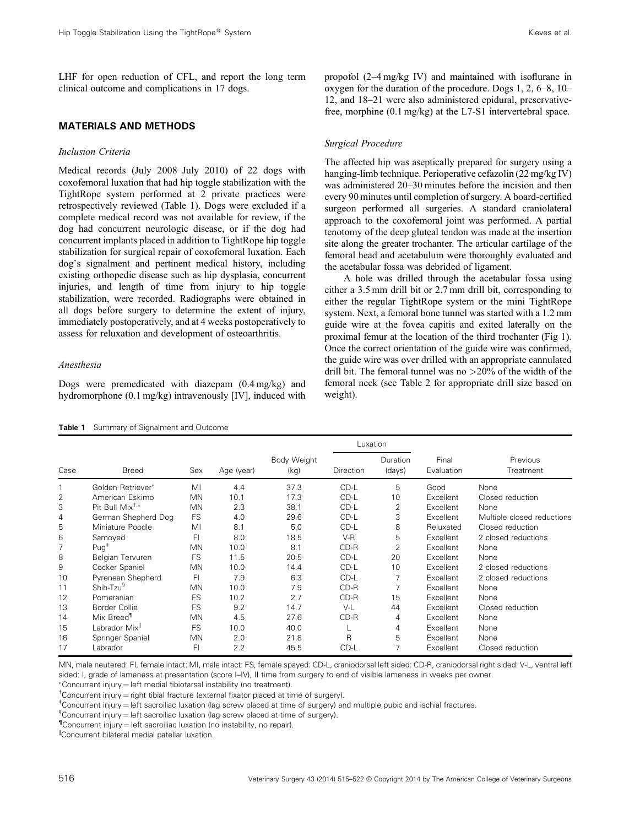LHF for open reduction of CFL, and report the long term clinical outcome and complications in 17 dogs.

# MATERIALS AND METHODS

#### Inclusion Criteria

Medical records (July 2008–July 2010) of 22 dogs with coxofemoral luxation that had hip toggle stabilization with the TightRope system performed at 2 private practices were retrospectively reviewed (Table 1). Dogs were excluded if a complete medical record was not available for review, if the dog had concurrent neurologic disease, or if the dog had concurrent implants placed in addition to TightRope hip toggle stabilization for surgical repair of coxofemoral luxation. Each dog's signalment and pertinent medical history, including existing orthopedic disease such as hip dysplasia, concurrent injuries, and length of time from injury to hip toggle stabilization, were recorded. Radiographs were obtained in all dogs before surgery to determine the extent of injury, immediately postoperatively, and at 4 weeks postoperatively to assess for reluxation and development of osteoarthritis.

## Anesthesia

Dogs were premedicated with diazepam (0.4 mg/kg) and hydromorphone (0.1 mg/kg) intravenously [IV], induced with

Table 1 Summary of Signalment and Outcome

propofol (2–4 mg/kg IV) and maintained with isoflurane in oxygen for the duration of the procedure. Dogs 1, 2, 6–8, 10– 12, and 18–21 were also administered epidural, preservativefree, morphine (0.1 mg/kg) at the L7-S1 intervertebral space.

## Surgical Procedure

The affected hip was aseptically prepared for surgery using a hanging-limb technique. Perioperative cefazolin (22 mg/kg IV) was administered 20–30 minutes before the incision and then every 90 minutes until completion of surgery. A board‐certified surgeon performed all surgeries. A standard craniolateral approach to the coxofemoral joint was performed. A partial tenotomy of the deep gluteal tendon was made at the insertion site along the greater trochanter. The articular cartilage of the femoral head and acetabulum were thoroughly evaluated and the acetabular fossa was debrided of ligament.

A hole was drilled through the acetabular fossa using either a 3.5 mm drill bit or 2.7 mm drill bit, corresponding to either the regular TightRope system or the mini TightRope system. Next, a femoral bone tunnel was started with a 1.2 mm guide wire at the fovea capitis and exited laterally on the proximal femur at the location of the third trochanter (Fig 1). Once the correct orientation of the guide wire was confirmed, the guide wire was over drilled with an appropriate cannulated drill bit. The femoral tunnel was no >20% of the width of the femoral neck (see Table 2 for appropriate drill size based on weight).

|      |                            |           |            |                            |              | Luxation           |                     |                            |
|------|----------------------------|-----------|------------|----------------------------|--------------|--------------------|---------------------|----------------------------|
| Case | <b>Breed</b>               | Sex       | Age (year) | <b>Body Weight</b><br>(kg) | Direction    | Duration<br>(days) | Final<br>Evaluation | Previous<br>Treatment      |
|      | Golden Retriever*          | MI        | 4.4        | 37.3                       | CD-L         | 5                  | Good                | None                       |
| 2    | American Eskimo            | <b>MN</b> | 10.1       | 17.3                       | CD-L         | 10                 | Excellent           | Closed reduction           |
| 3    | Pit Bull $Mix^{\dagger,*}$ | <b>MN</b> | 2.3        | 38.1                       | $CD-L$       | 2                  | Excellent           | None                       |
| 4    | German Shepherd Dog        | <b>FS</b> | 4.0        | 29.6                       | CD-L         | 3                  | Excellent           | Multiple closed reductions |
| 5    | Miniature Poodle           | MI        | 8.1        | 5.0                        | CD-L         | 8                  | Reluxated           | Closed reduction           |
| 6    | Samoyed                    | FI        | 8.0        | 18.5                       | $V-R$        | 5                  | Excellent           | 2 closed reductions        |
| 7    | $Puq^+$                    | <b>MN</b> | 10.0       | 8.1                        | $CD-R$       | 2                  | Excellent           | None                       |
| 8    | <b>Belgian Tervuren</b>    | FS        | 11.5       | 20.5                       | CD-L         | 20                 | Excellent           | None                       |
| 9    | Cocker Spaniel             | <b>MN</b> | 10.0       | 14.4                       | CD-L         | 10                 | Excellent           | 2 closed reductions        |
| 10   | Pyrenean Shepherd          | FI        | 7.9        | 6.3                        | CD-L         | 7                  | Excellent           | 2 closed reductions        |
| 11   | Shih-Tzu <sup>§</sup>      | <b>MN</b> | 10.0       | 7.9                        | $CD-R$       | 7                  | Excellent           | None                       |
| 12   | Pomeranian                 | <b>FS</b> | 10.2       | 2.7                        | $CD-R$       | 15                 | Excellent           | None                       |
| 13   | Border Collie              | FS        | 9.2        | 14.7                       | $V-L$        | 44                 | Excellent           | Closed reduction           |
| 14   | Mix Breed <sup>1</sup>     | <b>MN</b> | 4.5        | 27.6                       | $CD-R$       | 4                  | Excellent           | None                       |
| 15   | Labrador Mix <sup>II</sup> | FS        | 10.0       | 40.0                       |              | 4                  | Excellent           | None                       |
| 16   | Springer Spaniel           | <b>MN</b> | 2.0        | 21.8                       | $\mathsf{R}$ | 5                  | Excellent           | None                       |
| 17   | Labrador                   | FI        | 2.2        | 45.5                       | CD-L         | 7                  | Excellent           | Closed reduction           |

MN, male neutered: FI, female intact: MI, male intact: FS, female spayed: CD‐L, craniodorsal left sided: CD‐R, craniodorsal right sided: V‐L, ventral left sided: I, grade of lameness at presentation (score I–IV), II time from surgery to end of visible lameness in weeks per owner.

\*Concurrent injury = left medial tibiotarsal instability (no treatment).

<sup>+</sup>Concurrent injury = right tibial fracture (external fixator placed at time of surgery).

<sup>+</sup>Concurrent injury = left sacroiliac luxation (lag screw placed at time of surgery) and multiple pubic and ischial fractures.

 ${}^{\$}$ Concurrent injury = left sacroiliac luxation (lag screw placed at time of surgery).

 $\textsuperscript{n}$ Concurrent injury = left sacroiliac luxation (no instability, no repair).

||Concurrent bilateral medial patellar luxation.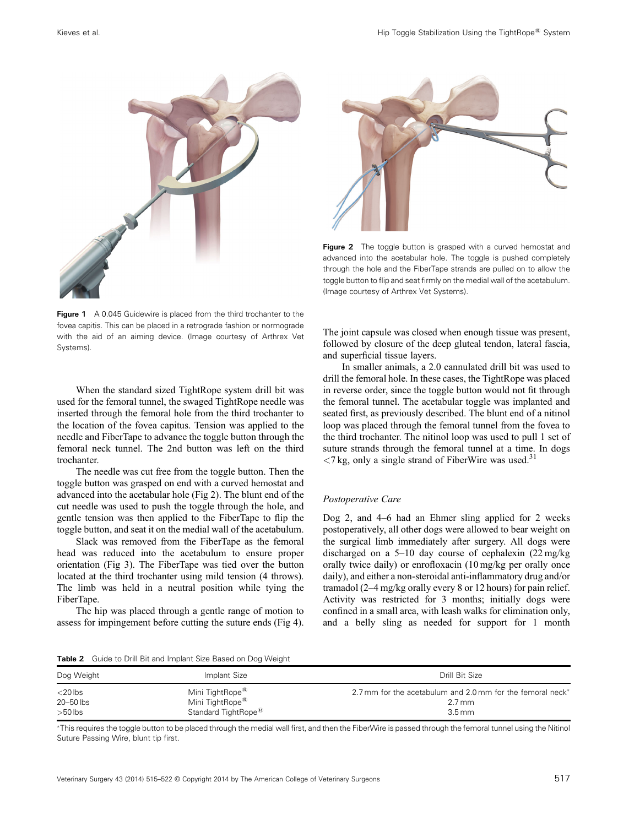

**Figure 1** A 0.045 Guidewire is placed from the third trochanter to the fovea capitis. This can be placed in a retrograde fashion or normograde with the aid of an aiming device. (Image courtesy of Arthrex Vet Systems).

When the standard sized TightRope system drill bit was used for the femoral tunnel, the swaged TightRope needle was inserted through the femoral hole from the third trochanter to the location of the fovea capitus. Tension was applied to the needle and FiberTape to advance the toggle button through the femoral neck tunnel. The 2nd button was left on the third trochanter.

The needle was cut free from the toggle button. Then the toggle button was grasped on end with a curved hemostat and advanced into the acetabular hole (Fig 2). The blunt end of the cut needle was used to push the toggle through the hole, and gentle tension was then applied to the FiberTape to flip the toggle button, and seat it on the medial wall of the acetabulum.

Slack was removed from the FiberTape as the femoral head was reduced into the acetabulum to ensure proper orientation (Fig 3). The FiberTape was tied over the button located at the third trochanter using mild tension (4 throws). The limb was held in a neutral position while tying the FiberTape.

The hip was placed through a gentle range of motion to assess for impingement before cutting the suture ends (Fig 4).



Figure 2 The toggle button is grasped with a curved hemostat and advanced into the acetabular hole. The toggle is pushed completely through the hole and the FiberTape strands are pulled on to allow the toggle button to flip and seat firmly on the medial wall of the acetabulum. (Image courtesy of Arthrex Vet Systems).

The joint capsule was closed when enough tissue was present, followed by closure of the deep gluteal tendon, lateral fascia, and superficial tissue layers.

In smaller animals, a 2.0 cannulated drill bit was used to drill the femoral hole. In these cases, the TightRope was placed in reverse order, since the toggle button would not fit through the femoral tunnel. The acetabular toggle was implanted and seated first, as previously described. The blunt end of a nitinol loop was placed through the femoral tunnel from the fovea to the third trochanter. The nitinol loop was used to pull 1 set of suture strands through the femoral tunnel at a time. In dogs  $\langle 7 \text{ kg}$ , only a single strand of FiberWire was used.<sup>31</sup>

#### Postoperative Care

Dog 2, and 4–6 had an Ehmer sling applied for 2 weeks postoperatively, all other dogs were allowed to bear weight on the surgical limb immediately after surgery. All dogs were discharged on a 5–10 day course of cephalexin (22 mg/kg orally twice daily) or enrofloxacin (10 mg/kg per orally once daily), and either a non‐steroidal anti‐inflammatory drug and/or tramadol (2–4 mg/kg orally every 8 or 12 hours) for pain relief. Activity was restricted for 3 months; initially dogs were confined in a small area, with leash walks for elimination only, and a belly sling as needed for support for 1 month

Table 2 Guide to Drill Bit and Implant Size Based on Dog Weight

| Dog Weight | Implant Size                    | Drill Bit Size                                             |
|------------|---------------------------------|------------------------------------------------------------|
| $<$ 20 lbs | Mini TightRope <sup>®</sup>     | 2.7 mm for the acetabulum and 2.0 mm for the femoral neck* |
| 20–50 lbs  | Mini TightRope <sup>®</sup>     | $2.7 \,\mathrm{mm}$                                        |
| $>50$ lbs  | Standard TightRope <sup>®</sup> | $3.5 \,\mathrm{mm}$                                        |

\*This requires the toggle button to be placed through the medial wall first, and then the FiberWire is passed through the femoral tunnel using the Nitinol Suture Passing Wire, blunt tip first.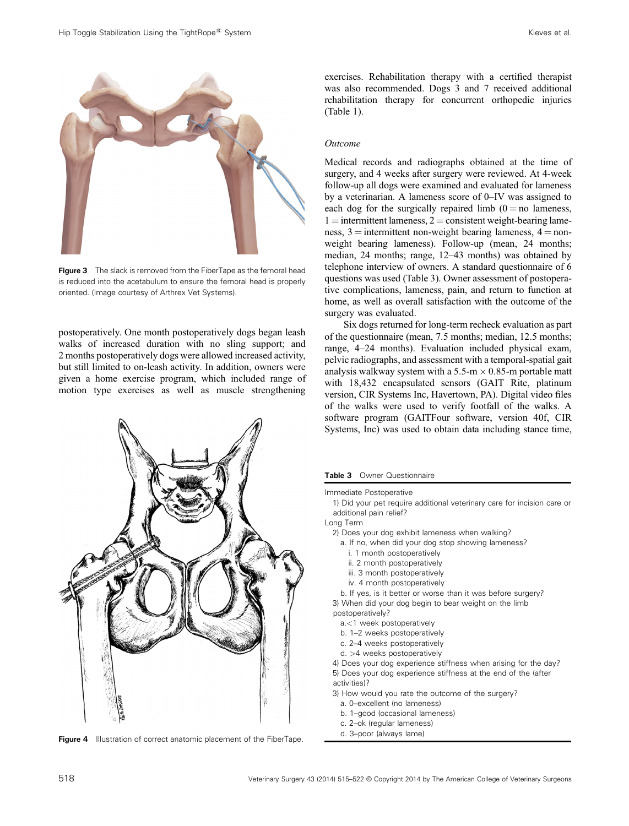

**Figure 3** The slack is removed from the FiberTape as the femoral head is reduced into the acetabulum to ensure the femoral head is properly oriented. (Image courtesy of Arthrex Vet Systems).

postoperatively. One month postoperatively dogs began leash walks of increased duration with no sling support; and 2 months postoperatively dogs were allowed increased activity, but still limited to on‐leash activity. In addition, owners were given a home exercise program, which included range of motion type exercises as well as muscle strengthening



Figure 4 Illustration of correct anatomic placement of the FiberTape.

exercises. Rehabilitation therapy with a certified therapist was also recommended. Dogs 3 and 7 received additional rehabilitation therapy for concurrent orthopedic injuries (Table 1).

#### Outcome

Medical records and radiographs obtained at the time of surgery, and 4 weeks after surgery were reviewed. At 4‐week follow‐up all dogs were examined and evaluated for lameness by a veterinarian. A lameness score of 0–IV was assigned to each dog for the surgically repaired limb  $(0 = no$  lameness,  $1 =$  intermittent lameness,  $2 =$  consistent weight-bearing lameness,  $3 =$  intermittent non-weight bearing lameness,  $4 =$  nonweight bearing lameness). Follow-up (mean, 24 months; median, 24 months; range, 12–43 months) was obtained by telephone interview of owners. A standard questionnaire of 6 questions was used (Table 3). Owner assessment of postoperative complications, lameness, pain, and return to function at home, as well as overall satisfaction with the outcome of the surgery was evaluated.

Six dogs returned for long‐term recheck evaluation as part of the questionnaire (mean, 7.5 months; median, 12.5 months; range, 4–24 months). Evaluation included physical exam, pelvic radiographs, and assessment with a temporal‐spatial gait analysis walkway system with a 5.5-m  $\times$  0.85-m portable matt with 18,432 encapsulated sensors (GAIT Rite, platinum version, CIR Systems Inc, Havertown, PA). Digital video files of the walks were used to verify footfall of the walks. A software program (GAITFour software, version 40f, CIR Systems, Inc) was used to obtain data including stance time,

Table 3 Owner Questionnaire

Immediate Postoperative

1) Did your pet require additional veterinary care for incision care or additional pain relief?

Long Term

- 2) Does your dog exhibit lameness when walking?
	- a. If no, when did your dog stop showing lameness?
		- i. 1 month postoperatively
		- ii. 2 month postoperatively
		- iii. 3 month postoperatively
	- iv. 4 month postoperatively

b. If yes, is it better or worse than it was before surgery? 3) When did your dog begin to bear weight on the limb postoperatively?

- a.<1 week postoperatively
- b. 1–2 weeks postoperatively
- c. 2–4 weeks postoperatively
- d. >4 weeks postoperatively

4) Does your dog experience stiffness when arising for the day? 5) Does your dog experience stiffness at the end of the (after activities)?

- 3) How would you rate the outcome of the surgery?
	- a. 0–excellent (no lameness)
	- b. 1–good (occasional lameness)
	- c. 2–ok (regular lameness)
	- d. 3–poor (always lame)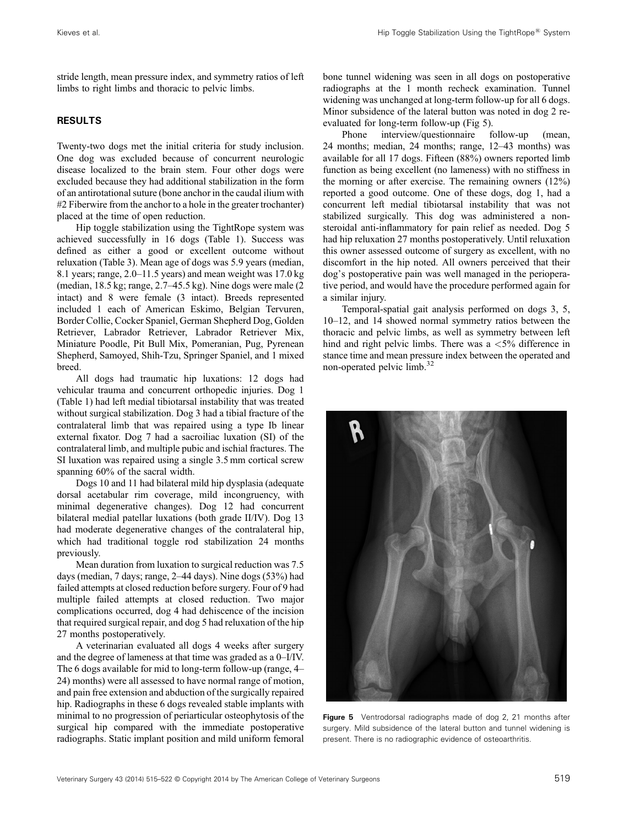stride length, mean pressure index, and symmetry ratios of left limbs to right limbs and thoracic to pelvic limbs.

## RESULTS

Twenty‐two dogs met the initial criteria for study inclusion. One dog was excluded because of concurrent neurologic disease localized to the brain stem. Four other dogs were excluded because they had additional stabilization in the form of an antirotational suture (bone anchor in the caudal ilium with #2 Fiberwire from the anchor to a hole in the greater trochanter) placed at the time of open reduction.

Hip toggle stabilization using the TightRope system was achieved successfully in 16 dogs (Table 1). Success was defined as either a good or excellent outcome without reluxation (Table 3). Mean age of dogs was 5.9 years (median, 8.1 years; range, 2.0–11.5 years) and mean weight was 17.0 kg (median, 18.5 kg; range, 2.7–45.5 kg). Nine dogs were male (2 intact) and 8 were female (3 intact). Breeds represented included 1 each of American Eskimo, Belgian Tervuren, Border Collie, Cocker Spaniel, German Shepherd Dog, Golden Retriever, Labrador Retriever, Labrador Retriever Mix, Miniature Poodle, Pit Bull Mix, Pomeranian, Pug, Pyrenean Shepherd, Samoyed, Shih‐Tzu, Springer Spaniel, and 1 mixed breed.

All dogs had traumatic hip luxations: 12 dogs had vehicular trauma and concurrent orthopedic injuries. Dog 1 (Table 1) had left medial tibiotarsal instability that was treated without surgical stabilization. Dog 3 had a tibial fracture of the contralateral limb that was repaired using a type Ib linear external fixator. Dog 7 had a sacroiliac luxation (SI) of the contralateral limb, and multiple pubic and ischial fractures. The SI luxation was repaired using a single 3.5 mm cortical screw spanning 60% of the sacral width.

Dogs 10 and 11 had bilateral mild hip dysplasia (adequate dorsal acetabular rim coverage, mild incongruency, with minimal degenerative changes). Dog 12 had concurrent bilateral medial patellar luxations (both grade II/IV). Dog 13 had moderate degenerative changes of the contralateral hip, which had traditional toggle rod stabilization 24 months previously.

Mean duration from luxation to surgical reduction was 7.5 days (median, 7 days; range, 2–44 days). Nine dogs (53%) had failed attempts at closed reduction before surgery. Four of 9 had multiple failed attempts at closed reduction. Two major complications occurred, dog 4 had dehiscence of the incision that required surgical repair, and dog 5 had reluxation of the hip 27 months postoperatively.

A veterinarian evaluated all dogs 4 weeks after surgery and the degree of lameness at that time was graded as a 0–I/IV. The 6 dogs available for mid to long-term follow-up (range, 4– 24) months) were all assessed to have normal range of motion, and pain free extension and abduction of the surgically repaired hip. Radiographs in these 6 dogs revealed stable implants with minimal to no progression of periarticular osteophytosis of the surgical hip compared with the immediate postoperative radiographs. Static implant position and mild uniform femoral

bone tunnel widening was seen in all dogs on postoperative radiographs at the 1 month recheck examination. Tunnel widening was unchanged at long-term follow-up for all 6 dogs. Minor subsidence of the lateral button was noted in dog 2 reevaluated for long‐term follow‐up (Fig 5).

Phone interview/questionnaire follow‐up (mean, 24 months; median, 24 months; range, 12–43 months) was available for all 17 dogs. Fifteen (88%) owners reported limb function as being excellent (no lameness) with no stiffness in the morning or after exercise. The remaining owners (12%) reported a good outcome. One of these dogs, dog 1, had a concurrent left medial tibiotarsal instability that was not stabilized surgically. This dog was administered a nonsteroidal anti-inflammatory for pain relief as needed. Dog 5 had hip reluxation 27 months postoperatively. Until reluxation this owner assessed outcome of surgery as excellent, with no discomfort in the hip noted. All owners perceived that their dog's postoperative pain was well managed in the perioperative period, and would have the procedure performed again for a similar injury.

Temporal-spatial gait analysis performed on dogs 3, 5, 10–12, and 14 showed normal symmetry ratios between the thoracic and pelvic limbs, as well as symmetry between left hind and right pelvic limbs. There was a  $\langle 5\%$  difference in stance time and mean pressure index between the operated and non‐operated pelvic limb.<sup>32</sup>



Figure 5 Ventrodorsal radiographs made of dog 2, 21 months after surgery. Mild subsidence of the lateral button and tunnel widening is present. There is no radiographic evidence of osteoarthritis.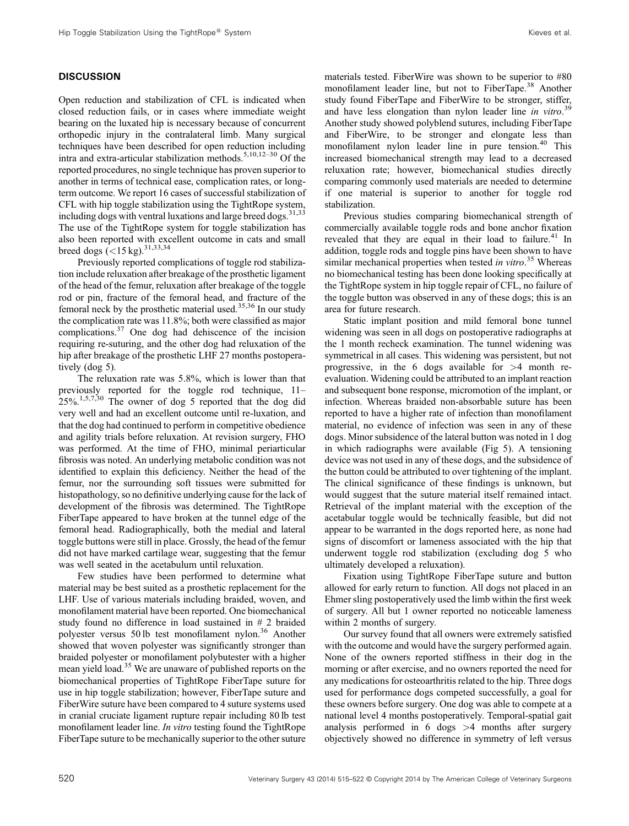# **DISCUSSION**

Open reduction and stabilization of CFL is indicated when closed reduction fails, or in cases where immediate weight bearing on the luxated hip is necessary because of concurrent orthopedic injury in the contralateral limb. Many surgical techniques have been described for open reduction including intra and extra-articular stabilization methods.<sup>5,10,12–30</sup> Of the reported procedures, no single technique has proven superior to another in terms of technical ease, complication rates, or long‐ term outcome. We report 16 cases of successful stabilization of CFL with hip toggle stabilization using the TightRope system, including dogs with ventral luxations and large breed dogs.<sup>31,33</sup> The use of the TightRope system for toggle stabilization has also been reported with excellent outcome in cats and small breed dogs  $(<15 \text{ kg})$ .<sup>31,33,34</sup>

Previously reported complications of toggle rod stabilization include reluxation after breakage of the prosthetic ligament of the head of the femur, reluxation after breakage of the toggle rod or pin, fracture of the femoral head, and fracture of the femoral neck by the prosthetic material used.35,36 In our study the complication rate was 11.8%; both were classified as major complications.37 One dog had dehiscence of the incision requiring re‐suturing, and the other dog had reluxation of the hip after breakage of the prosthetic LHF 27 months postoperatively (dog 5).

The reluxation rate was 5.8%, which is lower than that previously reported for the toggle rod technique, 11–  $25\%$ , 1,5,7,30 The owner of dog 5 reported that the dog did very well and had an excellent outcome until re‐luxation, and that the dog had continued to perform in competitive obedience and agility trials before reluxation. At revision surgery, FHO was performed. At the time of FHO, minimal periarticular fibrosis was noted. An underlying metabolic condition was not identified to explain this deficiency. Neither the head of the femur, nor the surrounding soft tissues were submitted for histopathology, so no definitive underlying cause for the lack of development of the fibrosis was determined. The TightRope FiberTape appeared to have broken at the tunnel edge of the femoral head. Radiographically, both the medial and lateral toggle buttons were still in place. Grossly, the head of the femur did not have marked cartilage wear, suggesting that the femur was well seated in the acetabulum until reluxation.

Few studies have been performed to determine what material may be best suited as a prosthetic replacement for the LHF. Use of various materials including braided, woven, and monofilament material have been reported. One biomechanical study found no difference in load sustained in # 2 braided polyester versus 50 lb test monofilament nylon.<sup>36</sup> Another showed that woven polyester was significantly stronger than braided polyester or monofilament polybutester with a higher mean yield load.<sup>35</sup> We are unaware of published reports on the biomechanical properties of TightRope FiberTape suture for use in hip toggle stabilization; however, FiberTape suture and FiberWire suture have been compared to 4 suture systems used in cranial cruciate ligament rupture repair including 80 lb test monofilament leader line. In vitro testing found the TightRope FiberTape suture to be mechanically superior to the other suture

materials tested. FiberWire was shown to be superior to #80 monofilament leader line, but not to FiberTape.<sup>38</sup> Another study found FiberTape and FiberWire to be stronger, stiffer, and have less elongation than nylon leader line in vitro.<sup>39</sup> Another study showed polyblend sutures, including FiberTape and FiberWire, to be stronger and elongate less than monofilament nylon leader line in pure tension.<sup>40</sup> This increased biomechanical strength may lead to a decreased reluxation rate; however, biomechanical studies directly comparing commonly used materials are needed to determine if one material is superior to another for toggle rod stabilization.

Previous studies comparing biomechanical strength of commercially available toggle rods and bone anchor fixation revealed that they are equal in their load to failure.<sup>41</sup> In addition, toggle rods and toggle pins have been shown to have similar mechanical properties when tested in vitro.<sup>35</sup> Whereas no biomechanical testing has been done looking specifically at the TightRope system in hip toggle repair of CFL, no failure of the toggle button was observed in any of these dogs; this is an area for future research.

Static implant position and mild femoral bone tunnel widening was seen in all dogs on postoperative radiographs at the 1 month recheck examination. The tunnel widening was symmetrical in all cases. This widening was persistent, but not progressive, in the 6 dogs available for  $>4$  month reevaluation. Widening could be attributed to an implant reaction and subsequent bone response, micromotion of the implant, or infection. Whereas braided non‐absorbable suture has been reported to have a higher rate of infection than monofilament material, no evidence of infection was seen in any of these dogs. Minor subsidence of the lateral button was noted in 1 dog in which radiographs were available (Fig 5). A tensioning device was not used in any of these dogs, and the subsidence of the button could be attributed to over tightening of the implant. The clinical significance of these findings is unknown, but would suggest that the suture material itself remained intact. Retrieval of the implant material with the exception of the acetabular toggle would be technically feasible, but did not appear to be warranted in the dogs reported here, as none had signs of discomfort or lameness associated with the hip that underwent toggle rod stabilization (excluding dog 5 who ultimately developed a reluxation).

Fixation using TightRope FiberTape suture and button allowed for early return to function. All dogs not placed in an Ehmer sling postoperatively used the limb within the first week of surgery. All but 1 owner reported no noticeable lameness within 2 months of surgery.

Our survey found that all owners were extremely satisfied with the outcome and would have the surgery performed again. None of the owners reported stiffness in their dog in the morning or after exercise, and no owners reported the need for any medications for osteoarthritis related to the hip. Three dogs used for performance dogs competed successfully, a goal for these owners before surgery. One dog was able to compete at a national level 4 months postoperatively. Temporal‐spatial gait analysis performed in 6 dogs  $>4$  months after surgery objectively showed no difference in symmetry of left versus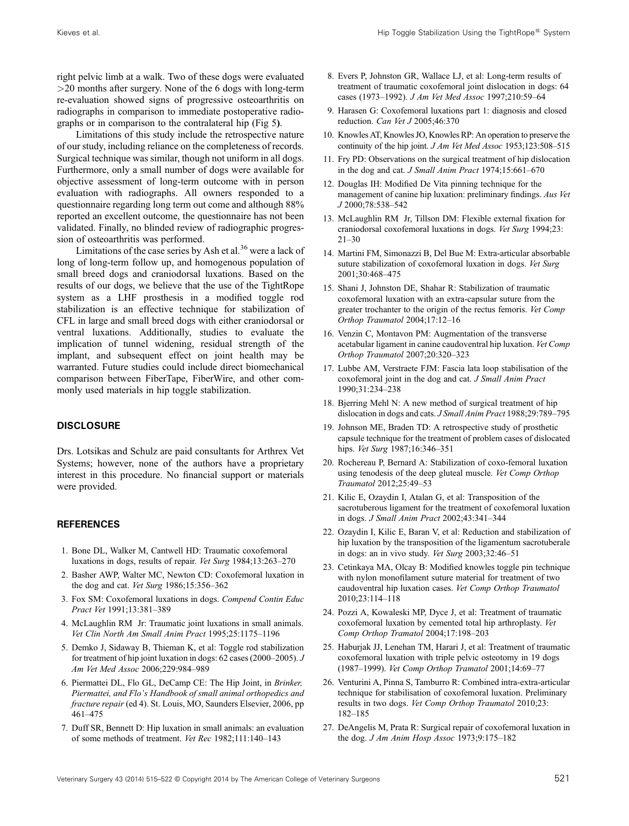right pelvic limb at a walk. Two of these dogs were evaluated  $>$ 20 months after surgery. None of the 6 dogs with long-term re‐evaluation showed signs of progressive osteoarthritis on radiographs in comparison to immediate postoperative radiographs or in comparison to the contralateral hip (Fig 5).

Limitations of this study include the retrospective nature of our study, including reliance on the completeness of records. Surgical technique was similar, though not uniform in all dogs. Furthermore, only a small number of dogs were available for objective assessment of long‐term outcome with in person evaluation with radiographs. All owners responded to a questionnaire regarding long term out come and although 88% reported an excellent outcome, the questionnaire has not been validated. Finally, no blinded review of radiographic progression of osteoarthritis was performed.

Limitations of the case series by Ash et al.<sup>36</sup> were a lack of long of long-term follow up, and homogenous population of small breed dogs and craniodorsal luxations. Based on the results of our dogs, we believe that the use of the TightRope system as a LHF prosthesis in a modified toggle rod stabilization is an effective technique for stabilization of CFL in large and small breed dogs with either craniodorsal or ventral luxations. Additionally, studies to evaluate the implication of tunnel widening, residual strength of the implant, and subsequent effect on joint health may be warranted. Future studies could include direct biomechanical comparison between FiberTape, FiberWire, and other commonly used materials in hip toggle stabilization.

## **DISCLOSURE**

Drs. Lotsikas and Schulz are paid consultants for Arthrex Vet Systems; however, none of the authors have a proprietary interest in this procedure. No financial support or materials were provided.

# **REFERENCES**

- 1. Bone DL, Walker M, Cantwell HD: Traumatic coxofemoral luxations in dogs, results of repair. Vet Surg 1984;13:263–270
- 2. Basher AWP, Walter MC, Newton CD: Coxofemoral luxation in the dog and cat. Vet Surg 1986;15:356–362
- 3. Fox SM: Coxofemoral luxations in dogs. Compend Contin Educ Pract Vet 1991;13:381–389
- 4. McLaughlin RM Jr: Traumatic joint luxations in small animals. Vet Clin North Am Small Anim Pract 1995;25:1175–1196
- 5. Demko J, Sidaway B, Thieman K, et al: Toggle rod stabilization for treatment of hip joint luxation in dogs: 62 cases (2000–2005). J Am Vet Med Assoc 2006;229:984–989
- 6. Piermattei DL, Flo GL, DeCamp CE: The Hip Joint, in Brinker, Piermattei, and Flo's Handbook of small animal orthopedics and fracture repair (ed 4). St. Louis, MO, Saunders Elsevier, 2006, pp 461–475
- 7. Duff SR, Bennett D: Hip luxation in small animals: an evaluation of some methods of treatment. Vet Rec 1982;111:140–143
- 8. Evers P, Johnston GR, Wallace LJ, et al: Long‐term results of treatment of traumatic coxofemoral joint dislocation in dogs: 64 cases (1973–1992). J Am Vet Med Assoc 1997;210:59–64
- 9. Harasen G: Coxofemoral luxations part 1: diagnosis and closed reduction. Can Vet J 2005;46:370
- 10. Knowles AT, Knowles JO, Knowles RP: An operation to preserve the continuity of the hip joint. *J Am Vet Med Assoc* 1953;123:508–515
- 11. Fry PD: Observations on the surgical treatment of hip dislocation in the dog and cat. J Small Anim Pract 1974;15:661–670
- 12. Douglas IH: Modified De Vita pinning technique for the management of canine hip luxation: preliminary findings. Aus Vet J 2000;78:538–542
- 13. McLaughlin RM Jr, Tillson DM: Flexible external fixation for craniodorsal coxofemoral luxations in dogs. Vet Surg 1994;23:  $21 - 30$
- 14. Martini FM, Simonazzi B, Del Bue M: Extra‐articular absorbable suture stabilization of coxofemoral luxation in dogs. Vet Surg 2001;30:468–475
- 15. Shani J, Johnston DE, Shahar R: Stabilization of traumatic coxofemoral luxation with an extra‐capsular suture from the greater trochanter to the origin of the rectus femoris. Vet Comp Orthop Traumatol 2004;17:12–16
- 16. Venzin C, Montavon PM: Augmentation of the transverse acetabular ligament in canine caudoventral hip luxation. Vet Comp Orthop Traumatol 2007;20:320–323
- 17. Lubbe AM, Verstraete FJM: Fascia lata loop stabilisation of the coxofemoral joint in the dog and cat. J Small Anim Pract 1990;31:234–238
- 18. Bjerring Mehl N: A new method of surgical treatment of hip dislocation in dogs and cats. J Small Anim Pract 1988;29:789–795
- 19. Johnson ME, Braden TD: A retrospective study of prosthetic capsule technique for the treatment of problem cases of dislocated hips. Vet Surg 1987;16:346-351
- 20. Rochereau P, Bernard A: Stabilization of coxo‐femoral luxation using tenodesis of the deep gluteal muscle. Vet Comp Orthop Traumatol 2012;25:49–53
- 21. Kilic E, Ozaydin I, Atalan G, et al: Transposition of the sacrotuberous ligament for the treatment of coxofemoral luxation in dogs. J Small Anim Pract 2002;43:341–344
- 22. Ozaydin I, Kilic E, Baran V, et al: Reduction and stabilization of hip luxation by the transposition of the ligamentum sacrotuberale in dogs: an in vivo study. Vet Surg 2003;32:46–51
- 23. Cetinkaya MA, Olcay B: Modified knowles toggle pin technique with nylon monofilament suture material for treatment of two caudoventral hip luxation cases. Vet Comp Orthop Traumatol 2010;23:114–118
- 24. Pozzi A, Kowaleski MP, Dyce J, et al: Treatment of traumatic coxofemoral luxation by cemented total hip arthroplasty. Vet Comp Orthop Tramatol 2004;17:198–203
- 25. Haburjak JJ, Lenehan TM, Harari J, et al: Treatment of traumatic coxofemoral luxation with triple pelvic osteotomy in 19 dogs (1987–1999). Vet Comp Orthop Tramatol 2001;14:69–77
- 26. Venturini A, Pinna S, Tamburro R: Combined intra‐extra‐articular technique for stabilisation of coxofemoral luxation. Preliminary results in two dogs. Vet Comp Orthop Traumatol 2010;23: 182–185
- 27. DeAngelis M, Prata R: Surgical repair of coxofemoral luxation in the dog. J Am Anim Hosp Assoc 1973;9:175–182